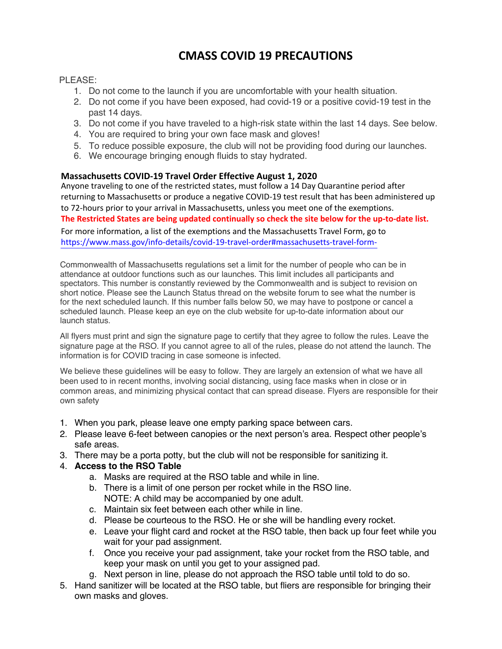## **CMASS COVID 19 PRECAUTIONS**

## PI FASE:

- 1. Do not come to the launch if you are uncomfortable with your health situation.
- 2. Do not come if you have been exposed, had covid-19 or a positive covid-19 test in the past 14 days.
- 3. Do not come if you have traveled to a high-risk state within the last 14 days. See below.
- 4. You are required to bring your own face mask and gloves!
- 5. To reduce possible exposure, the club will not be providing food during our launches.
- 6. We encourage bringing enough fluids to stay hydrated.

## **Massachusetts COVID-19 Travel Order Effective August 1, 2020**

Anyone traveling to one of the restricted states, must follow a 14 Day Quarantine period after returning to Massachusetts or produce a negative COVID-19 test result that has been administered up to 72-hours prior to your arrival in Massachusetts, unless you meet one of the exemptions. **The Restricted States are being updated continually so check the site below for the up-to-date list.**

For more information, a list of the exemptions and the Massachusetts Travel Form, go to

https://www.mass.gov/info-details/covid-19-travel-order#massachusetts-travel-form-

Commonwealth of Massachusetts regulations set a limit for the number of people who can be in attendance at outdoor functions such as our launches. This limit includes all participants and spectators. This number is constantly reviewed by the Commonwealth and is subject to revision on short notice. Please see the Launch Status thread on the website forum to see what the number is for the next scheduled launch. If this number falls below 50, we may have to postpone or cancel a scheduled launch. Please keep an eye on the club website for up-to-date information about our launch status.

All flyers must print and sign the signature page to certify that they agree to follow the rules. Leave the signature page at the RSO. If you cannot agree to all of the rules, please do not attend the launch. The information is for COVID tracing in case someone is infected.

We believe these guidelines will be easy to follow. They are largely an extension of what we have all been used to in recent months, involving social distancing, using face masks when in close or in common areas, and minimizing physical contact that can spread disease. Flyers are responsible for their own safety

- 1. When you park, please leave one empty parking space between cars.
- 2. Please leave 6-feet between canopies or the next person's area. Respect other people's safe areas.
- 3. There may be a porta potty, but the club will not be responsible for sanitizing it.

## 4. **Access to the RSO Table**

- a. Masks are required at the RSO table and while in line.
- b. There is a limit of one person per rocket while in the RSO line. NOTE: A child may be accompanied by one adult.
- c. Maintain six feet between each other while in line.
- d. Please be courteous to the RSO. He or she will be handling every rocket.
- e. Leave your flight card and rocket at the RSO table, then back up four feet while you wait for your pad assignment.
- f. Once you receive your pad assignment, take your rocket from the RSO table, and keep your mask on until you get to your assigned pad.
- g. Next person in line, please do not approach the RSO table until told to do so.
- 5. Hand sanitizer will be located at the RSO table, but fliers are responsible for bringing their own masks and gloves.